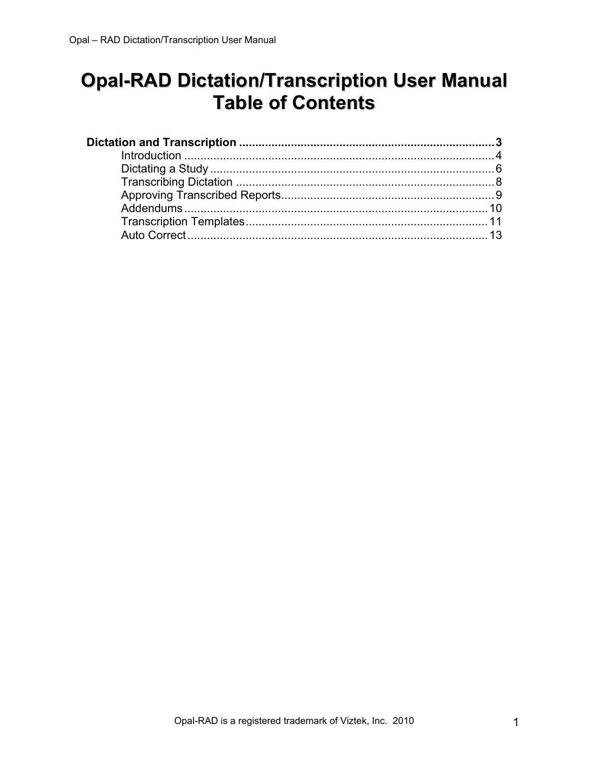# **Opal-RAD Dictation/Transcription User Manual Table of Contents**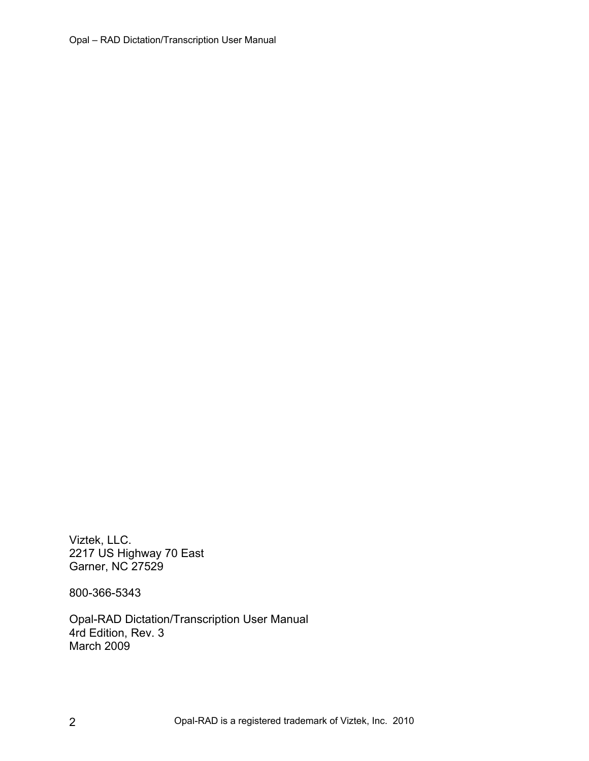Viztek, LLC. 2217 US Highway 70 East Garner, NC 27529

800-366-5343

Opal-RAD Dictation/Transcription User Manual 4rd Edition, Rev. 3 March 2009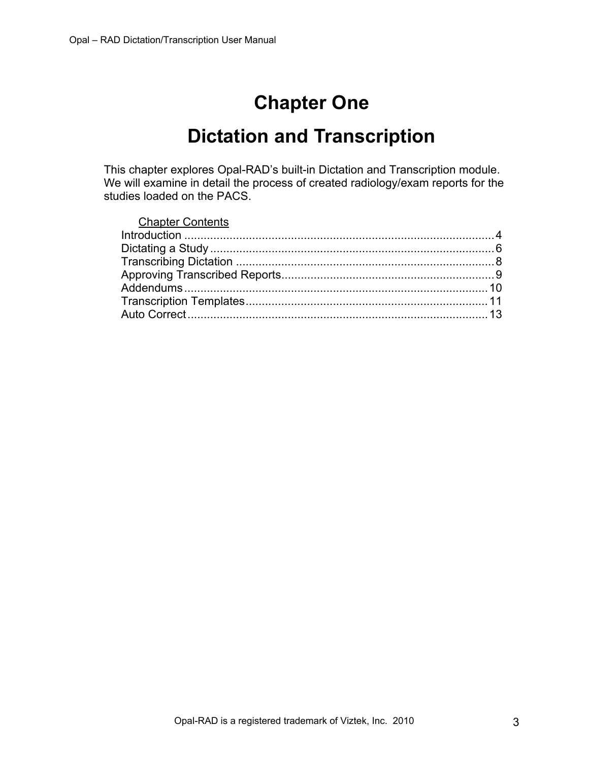# **Chapter One**

# **Dictation and Transcription**

<span id="page-2-0"></span>This chapter explores Opal-RAD's built-in Dictation and Transcription module. We will examine in detail the process of created radiology/exam reports for the studies loaded on the PACS.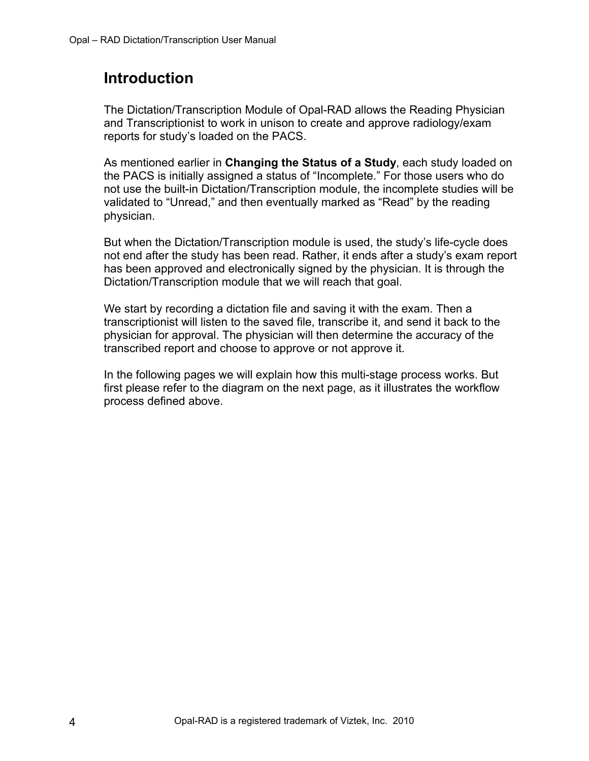# <span id="page-3-0"></span>**Introduction**

The Dictation/Transcription Module of Opal-RAD allows the Reading Physician and Transcriptionist to work in unison to create and approve radiology/exam reports for study's loaded on the PACS.

As mentioned earlier in **Changing the Status of a Study**, each study loaded on the PACS is initially assigned a status of "Incomplete." For those users who do not use the built-in Dictation/Transcription module, the incomplete studies will be validated to "Unread," and then eventually marked as "Read" by the reading physician.

But when the Dictation/Transcription module is used, the study's life-cycle does not end after the study has been read. Rather, it ends after a study's exam report has been approved and electronically signed by the physician. It is through the Dictation/Transcription module that we will reach that goal.

We start by recording a dictation file and saving it with the exam. Then a transcriptionist will listen to the saved file, transcribe it, and send it back to the physician for approval. The physician will then determine the accuracy of the transcribed report and choose to approve or not approve it.

In the following pages we will explain how this multi-stage process works. But first please refer to the diagram on the next page, as it illustrates the workflow process defined above.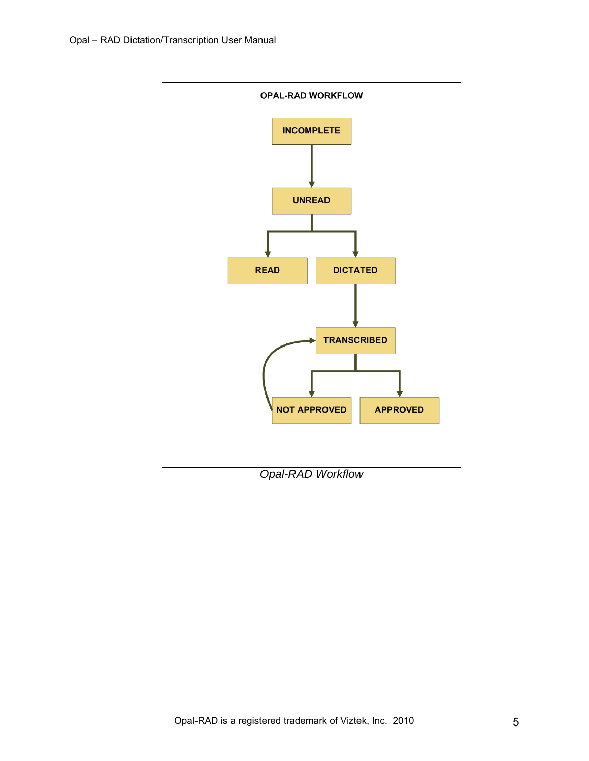

*Opal-RAD Workflow*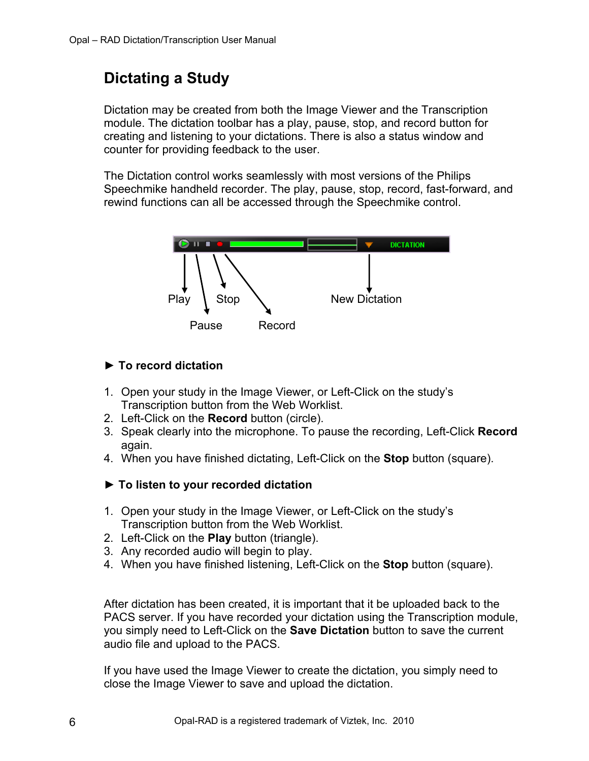# <span id="page-5-0"></span>**Dictating a Study**

Dictation may be created from both the Image Viewer and the Transcription module. The dictation toolbar has a play, pause, stop, and record button for creating and listening to your dictations. There is also a status window and counter for providing feedback to the user.

The Dictation control works seamlessly with most versions of the Philips Speechmike handheld recorder. The play, pause, stop, record, fast-forward, and rewind functions can all be accessed through the Speechmike control.



### **► To record dictation**

- 1. Open your study in the Image Viewer, or Left-Click on the study's Transcription button from the Web Worklist.
- 2. Left-Click on the **Record** button (circle).
- 3. Speak clearly into the microphone. To pause the recording, Left-Click **Record** again.
- 4. When you have finished dictating, Left-Click on the **Stop** button (square).
- **► To listen to your recorded dictation**
- 1. Open your study in the Image Viewer, or Left-Click on the study's Transcription button from the Web Worklist.
- 2. Left-Click on the **Play** button (triangle).
- 3. Any recorded audio will begin to play.
- 4. When you have finished listening, Left-Click on the **Stop** button (square).

After dictation has been created, it is important that it be uploaded back to the PACS server. If you have recorded your dictation using the Transcription module, you simply need to Left-Click on the **Save Dictation** button to save the current audio file and upload to the PACS.

If you have used the Image Viewer to create the dictation, you simply need to close the Image Viewer to save and upload the dictation.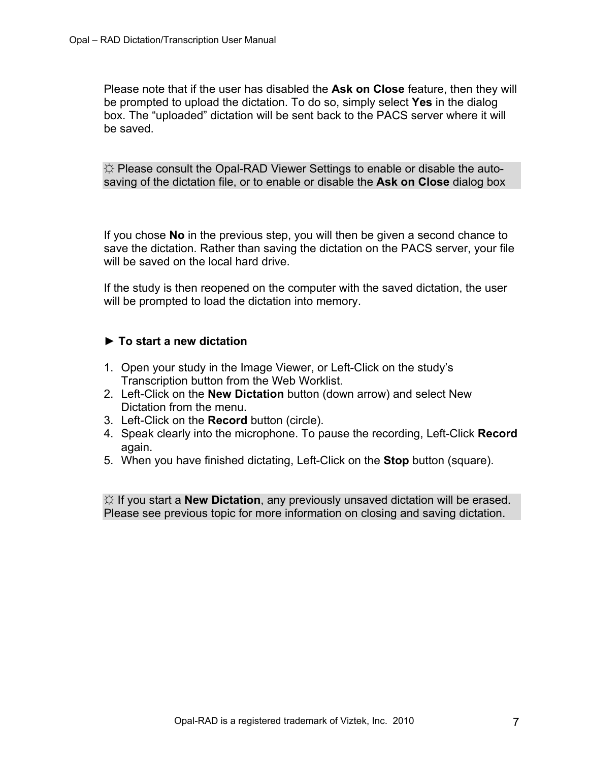Please note that if the user has disabled the **Ask on Close** feature, then they will be prompted to upload the dictation. To do so, simply select **Yes** in the dialog box. The "uploaded" dictation will be sent back to the PACS server where it will be saved.

☼ Please consult the Opal-RAD Viewer Settings to enable or disable the autosaving of the dictation file, or to enable or disable the **Ask on Close** dialog box

If you chose **No** in the previous step, you will then be given a second chance to save the dictation. Rather than saving the dictation on the PACS server, your file will be saved on the local hard drive.

If the study is then reopened on the computer with the saved dictation, the user will be prompted to load the dictation into memory.

#### **► To start a new dictation**

- 1. Open your study in the Image Viewer, or Left-Click on the study's Transcription button from the Web Worklist.
- 2. Left-Click on the **New Dictation** button (down arrow) and select New Dictation from the menu.
- 3. Left-Click on the **Record** button (circle).
- 4. Speak clearly into the microphone. To pause the recording, Left-Click **Record** again.
- 5. When you have finished dictating, Left-Click on the **Stop** button (square).

☼ If you start a **New Dictation**, any previously unsaved dictation will be erased. Please see previous topic for more information on closing and saving dictation.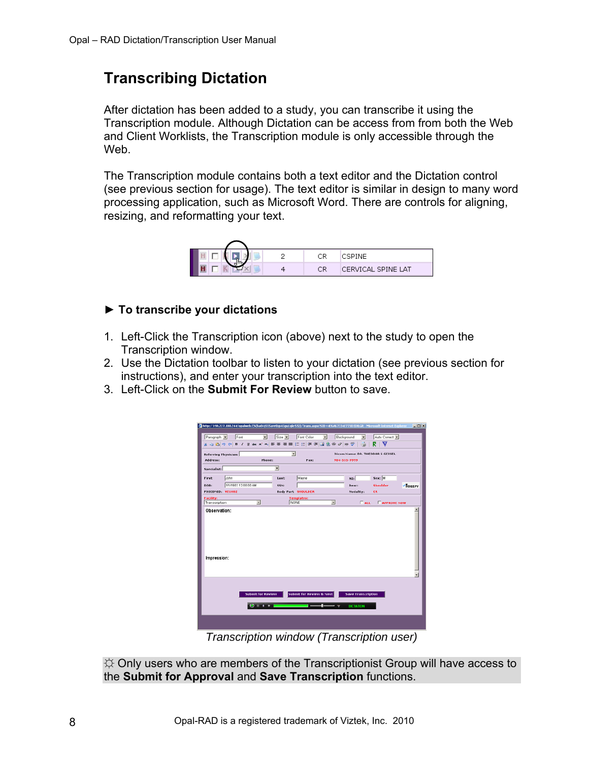# <span id="page-7-0"></span>**Transcribing Dictation**

After dictation has been added to a study, you can transcribe it using the Transcription module. Although Dictation can be access from from both the Web and Client Worklists, the Transcription module is only accessible through the Web.

The Transcription module contains both a text editor and the Dictation control (see previous section for usage). The text editor is similar in design to many word processing application, such as Microsoft Word. There are controls for aligning, resizing, and reformatting your text.



### **► To transcribe your dictations**

- 1. Left-Click the Transcription icon (above) next to the study to open the Transcription window.
- 2. Use the Dictation toolbar to listen to your dictation (see previous section for instructions), and enter your transcription into the text editor.
- 3. Left-Click on the **Submit For Review** button to save.

| http://199.227.180.244/opalweb/(S(ba04)555avr0zp45gu1qkr55))/Trans.aspx?5ID=4E6Ab7334E773D3D&GR - Microsoft Internet Explorer<br>Font<br>Paragraph -<br>$\blacksquare$<br>※心造りでBIUm×× 国事理国田田津津図名券グ用学 | $Size -$    | Font Color                 | Background<br>$\overline{\mathbf{r}}$ | $\overline{\phantom{a}}$         | Auto Correct<br>▼<br>Р | 上回凶     |
|------------------------------------------------------------------------------------------------------------------------------------------------------------------------------------------------------|-------------|----------------------------|---------------------------------------|----------------------------------|------------------------|---------|
| <b>Referring Physician:</b>                                                                                                                                                                          | Ξ           |                            |                                       | Dicom Name: DR. THEODOR S GEISEL |                        |         |
| Address:<br>Phone:                                                                                                                                                                                   |             | Fax:                       |                                       | 904-555-9999                     |                        |         |
| Specialist:                                                                                                                                                                                          | ≖           |                            |                                       |                                  |                        |         |
| First:<br>John                                                                                                                                                                                       | Last:       | <b>Mayne</b>               |                                       | NII                              | Sex: M                 |         |
| 1/1/1903 12:00:00 AM<br>DOB:                                                                                                                                                                         | <b>SSN:</b> |                            |                                       | Desc:                            | <b>Shoulder</b>        | -Noozey |
| PDICOMID: VZ1002                                                                                                                                                                                     |             | <b>Body Part: SHOULDER</b> |                                       | Modality:                        | <b>CR</b>              |         |
| <b>Facility:</b><br>Transcription<br>뵈                                                                                                                                                               | <b>NONE</b> | <b>Templates:</b>          | ᅬ                                     | $\Gamma$ ALL                     | <b>E</b> APPROVE NOW   |         |
| Impression:                                                                                                                                                                                          |             |                            |                                       |                                  |                        |         |
| <b>Submit for Review &amp; Next</b><br><b>Submit for Review</b><br><b>Save Transcription</b><br>0.011111<br>DICTATION                                                                                |             |                            |                                       |                                  |                        |         |
| $Tronomation$ window $(Tronomian)$                                                                                                                                                                   |             |                            |                                       |                                  |                        |         |

*Transcription window (Transcription user)* 

 $\uplus$  Only users who are members of the Transcriptionist Group will have access to the **Submit for Approval** and **Save Transcription** functions.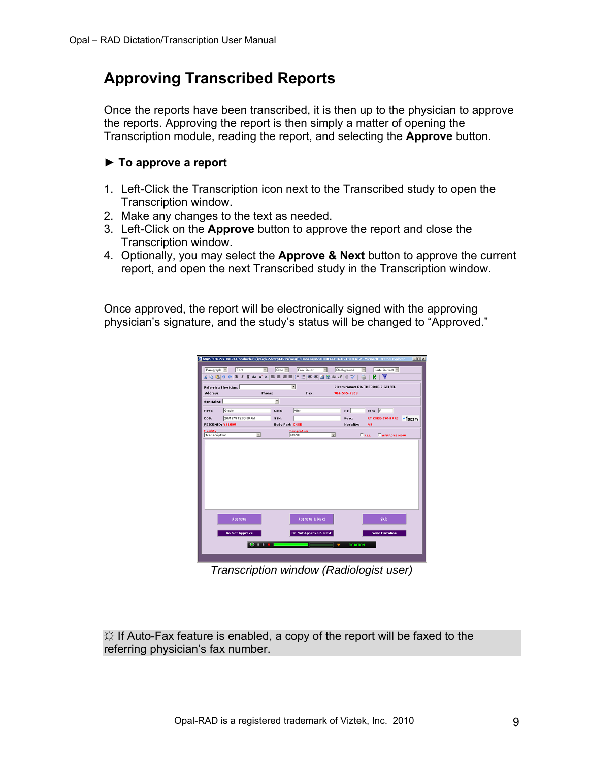# <span id="page-8-0"></span>**Approving Transcribed Reports**

Once the reports have been transcribed, it is then up to the physician to approve the reports. Approving the report is then simply a matter of opening the Transcription module, reading the report, and selecting the **Approve** button.

#### **► To approve a report**

- 1. Left-Click the Transcription icon next to the Transcribed study to open the Transcription window.
- 2. Make any changes to the text as needed.
- 3. Left-Click on the **Approve** button to approve the report and close the Transcription window.
- 4. Optionally, you may select the **Approve & Next** button to approve the current report, and open the next Transcribed study in the Transcription window.

Once approved, the report will be electronically signed with the approving physician's signature, and the study's status will be changed to "Approved."

| Auto Correct<br>Paragraph =<br>Font<br>$Size -$<br>Font Color<br>$\overline{\phantom{a}}$<br>회<br>Background<br>Ξ<br>⊽<br>■■旧日建定図&券の用学<br>п<br><b>心遇の e B Z U ak x x, ■</b><br>뉙<br>Dicom Name: DR. THEODOR S GEISEL<br><b>Referring Physician:</b><br>Phone:<br>Address:<br>Fax:<br>904-555-9999<br>▼<br><b>Specialist:</b><br>Allen<br>Gracie<br>Sex: F<br>First:<br>Last:<br>MI:<br>2/1/1979 12:00:00 AM<br>Viloprey<br>DOB:<br><b>RT ENEE-COMPARE</b><br>SSN:<br>Desc:<br><b>PDICOMID: V21009</b><br>Modality:<br><b>Body Part: KNEE</b><br>MR<br><b>Templates:</b><br><b>Facility:</b><br>NONE<br>Ξ<br>ᅬ<br>$\Gamma$ ALL<br>Transcription<br><b>FAPPROYE NOW</b><br>Skip<br><b>Approve &amp; Next</b><br>Approve<br><b>Save Dictation</b><br><b>Do Not Approve</b><br>Do Not Approve & Next<br>0.0100<br>DICTATION |  |  |  | http://199.227.180.244/opalweb/(S(kpfagkSShkctg44S3tofywzq))/Trans.aspx?SID=4E7A41324F413D3D&GR - Microsoft Internet Explorer | $L = 1$ |
|-------------------------------------------------------------------------------------------------------------------------------------------------------------------------------------------------------------------------------------------------------------------------------------------------------------------------------------------------------------------------------------------------------------------------------------------------------------------------------------------------------------------------------------------------------------------------------------------------------------------------------------------------------------------------------------------------------------------------------------------------------------------------------------------------------------------------|--|--|--|-------------------------------------------------------------------------------------------------------------------------------|---------|
|                                                                                                                                                                                                                                                                                                                                                                                                                                                                                                                                                                                                                                                                                                                                                                                                                         |  |  |  |                                                                                                                               |         |
|                                                                                                                                                                                                                                                                                                                                                                                                                                                                                                                                                                                                                                                                                                                                                                                                                         |  |  |  |                                                                                                                               |         |
|                                                                                                                                                                                                                                                                                                                                                                                                                                                                                                                                                                                                                                                                                                                                                                                                                         |  |  |  |                                                                                                                               |         |
|                                                                                                                                                                                                                                                                                                                                                                                                                                                                                                                                                                                                                                                                                                                                                                                                                         |  |  |  |                                                                                                                               |         |
|                                                                                                                                                                                                                                                                                                                                                                                                                                                                                                                                                                                                                                                                                                                                                                                                                         |  |  |  |                                                                                                                               |         |
|                                                                                                                                                                                                                                                                                                                                                                                                                                                                                                                                                                                                                                                                                                                                                                                                                         |  |  |  |                                                                                                                               |         |
|                                                                                                                                                                                                                                                                                                                                                                                                                                                                                                                                                                                                                                                                                                                                                                                                                         |  |  |  |                                                                                                                               |         |
|                                                                                                                                                                                                                                                                                                                                                                                                                                                                                                                                                                                                                                                                                                                                                                                                                         |  |  |  |                                                                                                                               |         |
|                                                                                                                                                                                                                                                                                                                                                                                                                                                                                                                                                                                                                                                                                                                                                                                                                         |  |  |  |                                                                                                                               |         |
|                                                                                                                                                                                                                                                                                                                                                                                                                                                                                                                                                                                                                                                                                                                                                                                                                         |  |  |  |                                                                                                                               |         |
|                                                                                                                                                                                                                                                                                                                                                                                                                                                                                                                                                                                                                                                                                                                                                                                                                         |  |  |  |                                                                                                                               |         |
|                                                                                                                                                                                                                                                                                                                                                                                                                                                                                                                                                                                                                                                                                                                                                                                                                         |  |  |  |                                                                                                                               |         |
|                                                                                                                                                                                                                                                                                                                                                                                                                                                                                                                                                                                                                                                                                                                                                                                                                         |  |  |  |                                                                                                                               |         |
|                                                                                                                                                                                                                                                                                                                                                                                                                                                                                                                                                                                                                                                                                                                                                                                                                         |  |  |  |                                                                                                                               |         |
|                                                                                                                                                                                                                                                                                                                                                                                                                                                                                                                                                                                                                                                                                                                                                                                                                         |  |  |  |                                                                                                                               |         |
|                                                                                                                                                                                                                                                                                                                                                                                                                                                                                                                                                                                                                                                                                                                                                                                                                         |  |  |  |                                                                                                                               |         |
|                                                                                                                                                                                                                                                                                                                                                                                                                                                                                                                                                                                                                                                                                                                                                                                                                         |  |  |  |                                                                                                                               |         |
|                                                                                                                                                                                                                                                                                                                                                                                                                                                                                                                                                                                                                                                                                                                                                                                                                         |  |  |  |                                                                                                                               |         |
|                                                                                                                                                                                                                                                                                                                                                                                                                                                                                                                                                                                                                                                                                                                                                                                                                         |  |  |  |                                                                                                                               |         |
|                                                                                                                                                                                                                                                                                                                                                                                                                                                                                                                                                                                                                                                                                                                                                                                                                         |  |  |  |                                                                                                                               |         |
|                                                                                                                                                                                                                                                                                                                                                                                                                                                                                                                                                                                                                                                                                                                                                                                                                         |  |  |  |                                                                                                                               |         |
|                                                                                                                                                                                                                                                                                                                                                                                                                                                                                                                                                                                                                                                                                                                                                                                                                         |  |  |  |                                                                                                                               |         |
|                                                                                                                                                                                                                                                                                                                                                                                                                                                                                                                                                                                                                                                                                                                                                                                                                         |  |  |  |                                                                                                                               |         |
|                                                                                                                                                                                                                                                                                                                                                                                                                                                                                                                                                                                                                                                                                                                                                                                                                         |  |  |  |                                                                                                                               |         |
|                                                                                                                                                                                                                                                                                                                                                                                                                                                                                                                                                                                                                                                                                                                                                                                                                         |  |  |  |                                                                                                                               |         |
|                                                                                                                                                                                                                                                                                                                                                                                                                                                                                                                                                                                                                                                                                                                                                                                                                         |  |  |  |                                                                                                                               |         |
|                                                                                                                                                                                                                                                                                                                                                                                                                                                                                                                                                                                                                                                                                                                                                                                                                         |  |  |  |                                                                                                                               |         |

*Transcription window (Radiologist user)* 

 $\Diamond$  If Auto-Fax feature is enabled, a copy of the report will be faxed to the referring physician's fax number.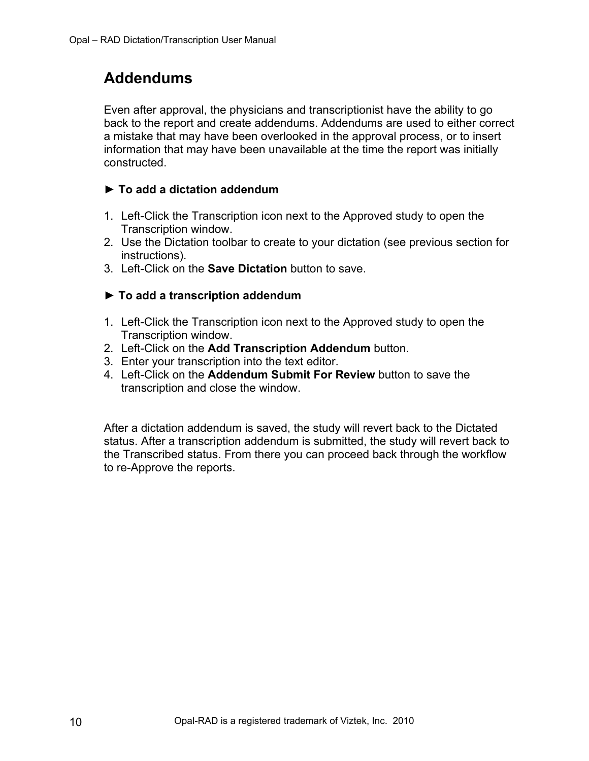# <span id="page-9-0"></span>**Addendums**

Even after approval, the physicians and transcriptionist have the ability to go back to the report and create addendums. Addendums are used to either correct a mistake that may have been overlooked in the approval process, or to insert information that may have been unavailable at the time the report was initially constructed.

### **► To add a dictation addendum**

- 1. Left-Click the Transcription icon next to the Approved study to open the Transcription window.
- 2. Use the Dictation toolbar to create to your dictation (see previous section for instructions).
- 3. Left-Click on the **Save Dictation** button to save.

### **► To add a transcription addendum**

- 1. Left-Click the Transcription icon next to the Approved study to open the Transcription window.
- 2. Left-Click on the **Add Transcription Addendum** button.
- 3. Enter your transcription into the text editor.
- 4. Left-Click on the **Addendum Submit For Review** button to save the transcription and close the window.

After a dictation addendum is saved, the study will revert back to the Dictated status. After a transcription addendum is submitted, the study will revert back to the Transcribed status. From there you can proceed back through the workflow to re-Approve the reports.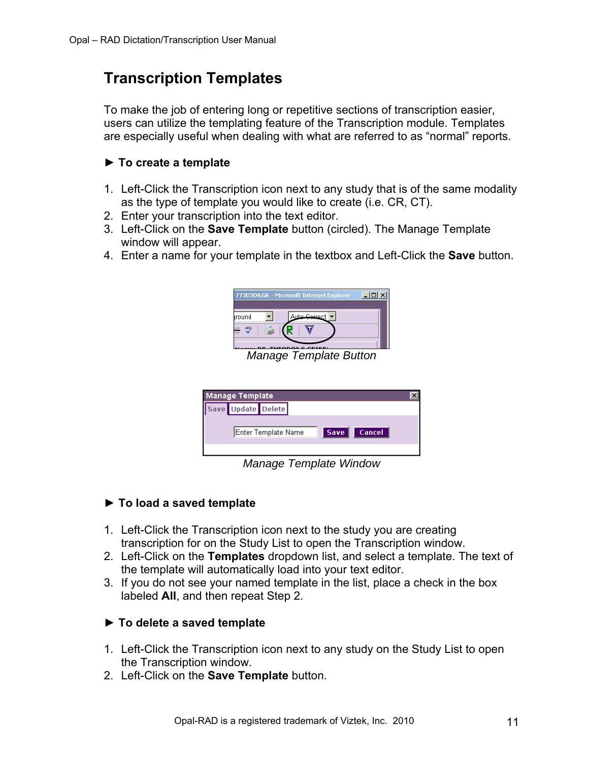## <span id="page-10-0"></span>**Transcription Templates**

To make the job of entering long or repetitive sections of transcription easier, users can utilize the templating feature of the Transcription module. Templates are especially useful when dealing with what are referred to as "normal" reports.

#### **► To create a template**

- 1. Left-Click the Transcription icon next to any study that is of the same modality as the type of template you would like to create (i.e. CR, CT).
- 2. Enter your transcription into the text editor.
- 3. Left-Click on the **Save Template** button (circled). The Manage Template window will appear.
- 4. Enter a name for your template in the textbox and Left-Click the **Save** button.



*Manage Template Button* 

| Manage Template     |                              |  |
|---------------------|------------------------------|--|
| Save Update Delete  |                              |  |
| Enter Template Name | <b>Cancel</b><br><b>Save</b> |  |
|                     |                              |  |

*Manage Template Window* 

### **► To load a saved template**

- 1. Left-Click the Transcription icon next to the study you are creating transcription for on the Study List to open the Transcription window.
- 2. Left-Click on the **Templates** dropdown list, and select a template. The text of the template will automatically load into your text editor.
- 3. If you do not see your named template in the list, place a check in the box labeled **All**, and then repeat Step 2.

### **► To delete a saved template**

- 1. Left-Click the Transcription icon next to any study on the Study List to open the Transcription window.
- 2. Left-Click on the **Save Template** button.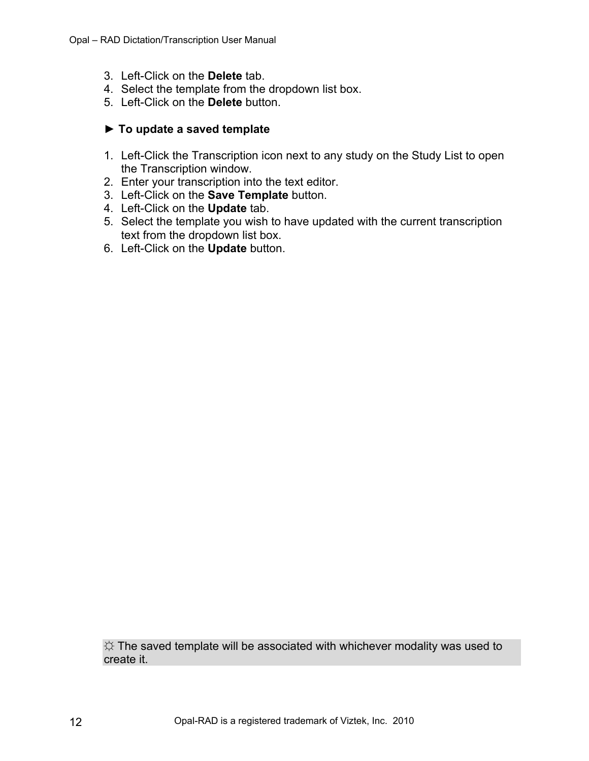- 3. Left-Click on the **Delete** tab.
- 4. Select the template from the dropdown list box.
- 5. Left-Click on the **Delete** button.

#### **► To update a saved template**

- 1. Left-Click the Transcription icon next to any study on the Study List to open the Transcription window.
- 2. Enter your transcription into the text editor.
- 3. Left-Click on the **Save Template** button.
- 4. Left-Click on the **Update** tab.
- 5. Select the template you wish to have updated with the current transcription text from the dropdown list box.
- 6. Left-Click on the **Update** button.

 $\hat{X}$  The saved template will be associated with whichever modality was used to create it.